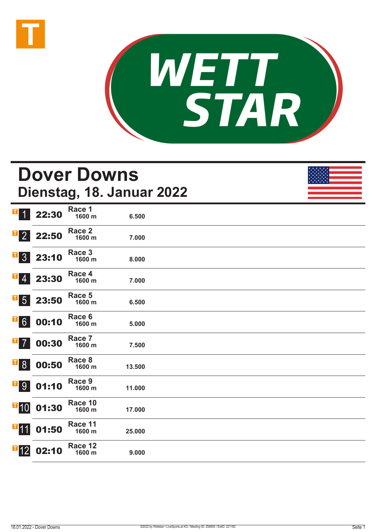



# **Dover Downs Dienstag, 18. Januar 2022**

| $\mathbf{T}$                                      | 22:30 | Race 1<br>1600 m            | 6.500  |  |
|---------------------------------------------------|-------|-----------------------------|--------|--|
| $\mathbf{F}$ 2                                    | 22:50 | Race <sub>2</sub><br>1600 m | 7.000  |  |
| $\mathbf{F}$ 3                                    | 23:10 | Race 3<br>1600 m            | 8.000  |  |
| $\mathbf{F}$ 4                                    | 23:30 | Race 4<br>1600 m            | 7.000  |  |
| $\mathbf{F}$ 5                                    | 23:50 | Race 5<br>1600 m            | 6.500  |  |
| $\overline{1}\,6$                                 | 00:10 | Race 6<br>1600 m            | 5.000  |  |
| $\blacksquare$ 7                                  | 00:30 | Race 7<br>1600 m            | 7.500  |  |
| $\overline{\phantom{0}}$ $\overline{\phantom{0}}$ | 00:50 | Race 8<br>1600 m            | 13.500 |  |
| <b>T</b> <sup>9</sup>                             | 01:10 | Race 9<br>1600 m            | 11.000 |  |
| $\blacksquare$ 10                                 | 01:30 | Race 10<br>1600 m           | 17.000 |  |
| $\blacksquare$ 11                                 | 01:50 | Race 11<br>1600 m           | 25.000 |  |
| $\blacksquare$ 12                                 | 02:10 | Race 12<br>1600 m           | 9.000  |  |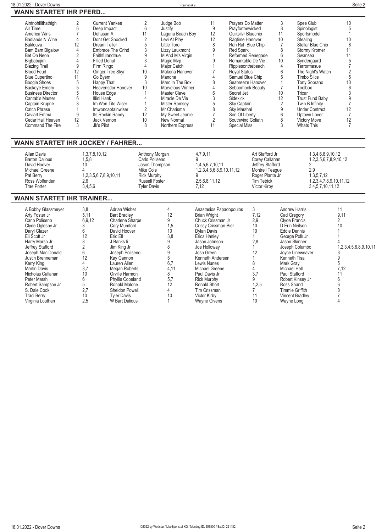| 18.01.2022 - Dover Downs      |                | Rennen#9  |                   |           | Seite 2 |
|-------------------------------|----------------|-----------|-------------------|-----------|---------|
| <b>WANN STARTET IHR PFERD</b> |                |           |                   |           |         |
| Aintnohillthathigh            | Current Yankee | Judge Bob | Pravers Do Matter | Spee Club |         |

| н |  |
|---|--|
|   |  |

| Aintnohillthathigh<br>Air Time<br>America Wins<br><b>Badlands N Wine</b><br>Baklouva<br>Bam Bam Bigalow<br>Bet On Neon<br>Bigbabajim<br><b>Blazing Trail</b><br><b>Blood Feud</b><br><b>Blue Cupertino</b><br>Boogie Shoes<br><b>Buckeye Emery</b><br><b>Business Director</b><br>Cantab's Master<br>Captain Krupnik<br><b>Catch Phrase</b><br><b>Caviart Emma</b><br>Cedar Hall Heaven<br>Command The Fire | $\overline{2}$<br>6<br>$\overline{7}$<br>Deltasun A<br>$\overline{4}$<br>12<br>$\overline{4}$<br>$\overline{2}$<br>4<br><b>Filled Donut</b><br>9<br>Firm Ringo<br>12<br>Go Byem<br>11<br>5<br>Happy That<br>5<br>5<br>House Edge<br>6<br>Illini Hank<br>3<br>$\mathbf{1}$<br>9<br>12<br>Jack Vernon<br>3<br>Jk's Pilot | <b>Current Yankee</b><br>Deep Impact<br>Dont Get Shocked<br>Dream Teller<br>Embrace The Grind<br>Faithfulandtrue<br>Ginger Tree Skyr<br><b>Heavensdor Hanover</b><br>Im Won Tito Wiser<br>Imwoncaptainwiser<br>Its Rockin Randy                                                                                                          | $\overline{2}$<br>6<br>11<br>$\overline{2}$<br>5<br>$\mathfrak{Z}$<br>$\boldsymbol{9}$<br>$\mathfrak{Z}$<br>$\overline{4}$<br>10<br>9<br>$\mathfrak{Z}$<br>10<br>$\mathbf{1}$<br>$\overline{4}$<br>$\mathbf{1}$<br>$\overline{2}$<br>12<br>10<br>8 | Judge Bob<br>Justify<br>Laguna Beach Boy<br>Levi At Play<br>Little Toro<br>Lizzy Lauxmont<br>M And M's Virgin<br>Magic Mvp<br>Major Catch<br>Makena Hanover<br>Manone<br>Marc In The Box<br>Marvelous Winner<br><b>Master Clave</b><br>Miracle De Vie<br>Mister Ramsey<br>Mr Charisma<br>My Sweet Jeanie<br>New Normal<br>Northern Express | 11<br>$9\,$<br>12<br>12<br>8<br>9<br>$\mathbf{1}$<br>9<br>$\mathbf{1}$<br>7<br>$\overline{\mathcal{L}}$<br>8<br>4<br>6<br>3<br>$\overline{5}$<br>8<br>$\overline{7}$<br>$\overline{2}$<br>11                                                                                                                                                               | Prayers Do Matter<br>Prayforthewicked<br>Quiksilvr Bluechip<br>Ragtime Hanover<br>Rah Rah Blue Chip<br><b>Red Spark</b><br>Reformed Renegade<br>Remarkable De Vie<br>Ripplesonthebeach<br><b>Royal Status</b><br>Samuel Blue Chip<br>Seabreeze Hanover<br>Seboomook Beauty<br>Secret Jet<br><b>Sidekick</b><br><b>Sky Captain</b><br>Sky Marshal<br>Son Of Liberty<br>Southwind Goliath<br><b>Special Miss</b> |                                                                                                                                                                     | 3<br>8<br>11<br>10<br>$\overline{7}$<br>8<br>$\,6$<br>10<br>4<br>6<br>5<br>$\mathbf{1}$<br>$\overline{7}$<br>10<br>12<br>$\sqrt{2}$<br>$\boldsymbol{9}$<br>6<br>8<br>3 | Spee Club<br>Spinologist<br>Sportsmodel<br>Stealing<br>Stellar Blue Chip<br>Stormy Kromer<br>Swansea<br>Syndergaard<br>Terrormasue<br>The Night's Watch<br><b>Timbo Slice</b><br><b>Tony Soprano</b><br>Toolbox<br>Trixar<br><b>Trust Fund Baby</b><br>Twin B Infinity<br><b>Under Contract</b><br>Uptown Lover<br>Victory Move<br><b>Whats This</b> | 10<br>5<br>1<br>10<br>8<br>11<br>11<br>5<br>$\overline{7}$<br>$\overline{2}$<br>5<br>10<br>6<br>3<br>9<br>$\overline{7}$<br>12<br>$\overline{7}$<br>12<br>$\overline{7}$    |
|-------------------------------------------------------------------------------------------------------------------------------------------------------------------------------------------------------------------------------------------------------------------------------------------------------------------------------------------------------------------------------------------------------------|------------------------------------------------------------------------------------------------------------------------------------------------------------------------------------------------------------------------------------------------------------------------------------------------------------------------|------------------------------------------------------------------------------------------------------------------------------------------------------------------------------------------------------------------------------------------------------------------------------------------------------------------------------------------|----------------------------------------------------------------------------------------------------------------------------------------------------------------------------------------------------------------------------------------------------|--------------------------------------------------------------------------------------------------------------------------------------------------------------------------------------------------------------------------------------------------------------------------------------------------------------------------------------------|------------------------------------------------------------------------------------------------------------------------------------------------------------------------------------------------------------------------------------------------------------------------------------------------------------------------------------------------------------|----------------------------------------------------------------------------------------------------------------------------------------------------------------------------------------------------------------------------------------------------------------------------------------------------------------------------------------------------------------------------------------------------------------|---------------------------------------------------------------------------------------------------------------------------------------------------------------------|------------------------------------------------------------------------------------------------------------------------------------------------------------------------|------------------------------------------------------------------------------------------------------------------------------------------------------------------------------------------------------------------------------------------------------------------------------------------------------------------------------------------------------|-----------------------------------------------------------------------------------------------------------------------------------------------------------------------------|
| <b>WANN STARTET IHR JOCKEY / FAHRER</b><br><b>Allan Davis</b><br><b>Barton Dalious</b><br>David Hoover<br>Michael Greene<br>Pat Berry<br>Ross Wolfenden<br><b>Trae Porter</b>                                                                                                                                                                                                                               | 1, 3, 7, 8, 10, 12<br>1,5,8<br>10 <sup>1</sup><br>4<br>1,2,3,5,6,7,8,9,10,11<br>2,6<br>3,4,5,6                                                                                                                                                                                                                         |                                                                                                                                                                                                                                                                                                                                          | Anthony Morgan<br>Carlo Poliseno<br>Jason Thompson<br>Mike Cole<br><b>Rick Murphy</b><br>Russell Foster<br><b>Tyler Davis</b>                                                                                                                      |                                                                                                                                                                                                                                                                                                                                            | 4,7,9,11<br>9<br>1,4,5,6,7,10,11<br>1,2,3,4,5,6,8,9,10,11,12<br>9<br>2,5,6,8,11,12<br>7,12                                                                                                                                                                                                                                                                 |                                                                                                                                                                                                                                                                                                                                                                                                                | Art Stafford Jr<br>Corey Callahan<br>Jeffrey Stafford<br>Montrell Teaque<br>Roger Plante Jr<br>Tim Tetrick<br>Victor Kirby                                          |                                                                                                                                                                        | 1,3,4,6,8,9,10,12<br>1,2,3,5,6,7,8,9,10,12<br>2<br>2,9<br>1.3.5.7.12<br>1,2,3,4,7,8,9,10,11,12<br>3,4,5,7,10,11,12                                                                                                                                                                                                                                   |                                                                                                                                                                             |
| <b>WANN STARTET IHR TRAINER</b>                                                                                                                                                                                                                                                                                                                                                                             |                                                                                                                                                                                                                                                                                                                        |                                                                                                                                                                                                                                                                                                                                          |                                                                                                                                                                                                                                                    |                                                                                                                                                                                                                                                                                                                                            |                                                                                                                                                                                                                                                                                                                                                            |                                                                                                                                                                                                                                                                                                                                                                                                                |                                                                                                                                                                     |                                                                                                                                                                        |                                                                                                                                                                                                                                                                                                                                                      |                                                                                                                                                                             |
| A Bobby Glassmeyer<br>Arty Foster Jr<br>Carlo Poliseno<br>Clyde Oglesby Jr<br>Daryl Glazer<br>Eli Scott Jr<br>Harry Marsh Jr<br>Jeffrey Stafford<br>Joseph Mac Donald<br>Justin Brenneman<br>Kerry King<br><b>Martin Davis</b><br>Nicholas Callahan<br>Peter Marsh<br>Robert Sampson Jr<br>S. Dale Cook<br><b>Traci Berry</b><br>Virginia Louthan                                                           | 3,8<br>5.11<br>6,9,12<br>3<br>6<br>12<br>3<br>$\overline{2}$<br>6<br>12<br>$\overline{4}$<br>3,7<br>10<br>6<br>5<br>2,7<br>10<br>2.5                                                                                                                                                                                   | <b>Adrian Wisher</b><br><b>Bart Bradlev</b><br>Charlene Sharpe<br>Cory Mumford<br>David Hoover<br>Eric Ell<br>J Banks li<br>Jim King Jr<br>Joseph Poliseno<br>Kay Gannon<br>Lauren Allen<br>Megan Roberts<br>Orville Harmon<br><b>Phyllis Copeland</b><br>Ronald Malone<br>Sheldon Powell<br><b>Tyler Davis</b><br><b>W Bart Dalious</b> |                                                                                                                                                                                                                                                    | 4<br>12<br>9<br>1,5<br>10<br>3.8<br>9<br>8<br>9<br>5<br>6,7<br>4.11<br>8<br>5,7<br>12<br>$\overline{4}$<br>10<br>$\mathbf{1}$                                                                                                                                                                                                              | Anastasios Papadopoulos<br><b>Brian Wright</b><br>Chuck Crissman Jr<br>Crissy Crissman-Bier<br><b>Dylan Davis</b><br>Erica Hanlev<br>Jason Johnson<br>Joe Holloway<br>Josh Green<br>Kenneth Andersen<br>Lewis Nunes<br>Michael Greene<br>Paul Davis Jr<br><b>Rick Murphy</b><br>Ronald Short<br>Tim Crissman<br><b>Victor Kirby</b><br><b>Wayne Givens</b> |                                                                                                                                                                                                                                                                                                                                                                                                                | 3<br>7.12<br>2,9<br>10 <sup>2</sup><br>10<br>$\mathbf{1}$<br>2.8<br>$\mathbf{1}$<br>12<br>$\mathbf{1}$<br>8<br>4<br>3,7<br>9<br>1,2,5<br>$\overline{7}$<br>11<br>10 | Cad Gregory<br>Clyde Francis<br><b>Eddie Dennis</b><br>Kenneth Tisa<br>Mark Gray<br><b>Michael Hall</b><br><b>Paul Stafford</b><br>Ross Shand<br>Wayne Long            | <b>Andrew Harris</b><br>D Erin Neilson<br>George Polk Jr<br>Jason Skinner<br>Joseph Columbo<br>Joyce Lineweaver<br>Robert Kinsey Jr<br><b>Timmie Griffith</b><br><b>Vincent Bradlev</b>                                                                                                                                                              | 11<br>9.11<br>$\overline{2}$<br>10<br>$\mathbf{1}$<br>$\mathbf{1}$<br>1,2,3,4,5,6,8,9,10,11<br>3<br>9<br>5<br>7.12<br>11<br>6<br>$6\phantom{a}$<br>8<br>$\overline{7}$<br>4 |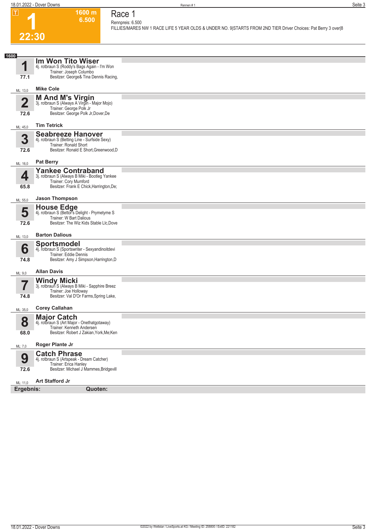**1600 m 6.500** 

**Race 1 Rennpreis: 6.500**

**FILLIES/MARES NW 1 RACE LIFE 5 YEAR OLDS & UNDER NO. 9|STARTS FROM 2ND TIER Driver Choices: Pat Berry 3 over|8** 

### **1 22:30**

| ZZ:3U                    |                                                                          |  |
|--------------------------|--------------------------------------------------------------------------|--|
|                          |                                                                          |  |
| 1600                     | Im Won Tito Wiser                                                        |  |
| 1                        | 4j. rotbraun S (Roddy's Bags Again - I'm Won<br>Trainer: Joseph Columbo  |  |
| 77.1                     | Besitzer: George& Tina Dennis Racing,                                    |  |
| ML: 13,0                 | <b>Mike Cole</b>                                                         |  |
|                          | <b>M And M's Virgin</b>                                                  |  |
| $\overline{\mathbf{2}}$  | 3j. rotbraun S (Always A Virgin - Major Mojo)<br>Trainer: George Polk Jr |  |
| 72.6                     | Besitzer: George Polk Jr, Dover, De                                      |  |
| ML: 45,0                 | <b>Tim Tetrick</b>                                                       |  |
| 3                        | <b>Seabreeze Hanover</b>                                                 |  |
|                          | 4j. rotbraun S (Betting Line - Surfside Sexy)<br>Trainer: Ronald Short   |  |
| 72.6                     | Besitzer: Ronald E Short, Greenwood, D                                   |  |
| ML: 16,0                 | <b>Pat Berry</b>                                                         |  |
| 4                        | <b>Yankee Contraband</b>                                                 |  |
|                          | 3j. rotbraun S (Always B Miki - Bootleg Yankee<br>Trainer: Cory Mumford  |  |
| 65.8                     | Besitzer: Frank E Chick, Harrington, De;                                 |  |
| ML: 55,0                 | <b>Jason Thompson</b>                                                    |  |
| 5                        | House Edge<br>4j. rotbraun S (Bettor's Delight - Prymetyme S             |  |
|                          | Trainer: W Bart Dalious                                                  |  |
| 72.6                     | Besitzer: The Wiz Kids Stable Llc, Dove                                  |  |
| ML: 13,0                 | <b>Barton Dalious</b>                                                    |  |
|                          | <b>Sportsmodel</b>                                                       |  |
| 6                        | 4j. rotbraun S (Sportswriter - Sexyandinoitdevi<br>Trainer: Eddie Dennis |  |
| 74.8                     | Besitzer: Amy J Simpson, Harrington, D                                   |  |
| ML: 9,0                  | <b>Allan Davis</b>                                                       |  |
| $\overline{\phantom{a}}$ | <b>Windy Micki</b><br>3j. rotbraun S (Always B Miki - Sapphire Breez     |  |
|                          | Trainer: Joe Holloway                                                    |  |
| 74.8                     | Besitzer: Val D'Or Farms, Spring Lake,                                   |  |
| ML: 35,0                 | <b>Corey Callahan</b>                                                    |  |
| Ω                        | <b>Major Catch</b><br>4j. rotbraun S (Art Major - Onethatgotaway)        |  |
| Ŏ                        | Trainer: Kenneth Andersen                                                |  |
| 68.0                     | Besitzer: Robert J Zakian, York, Me; Ken                                 |  |
| ML: 7,0                  | Roger Plante Jr                                                          |  |
| 9                        | <b>Catch Phrase</b><br>4j. rotbraun S (Artspeak - Dream Catcher)         |  |
|                          | Trainer: Erica Hanley                                                    |  |
| 72.6                     | Besitzer: Michael J Mammes, Bridgevill                                   |  |
| ML: 11,0                 | <b>Art Stafford Jr</b>                                                   |  |
| Ergebnis:                | Quoten:                                                                  |  |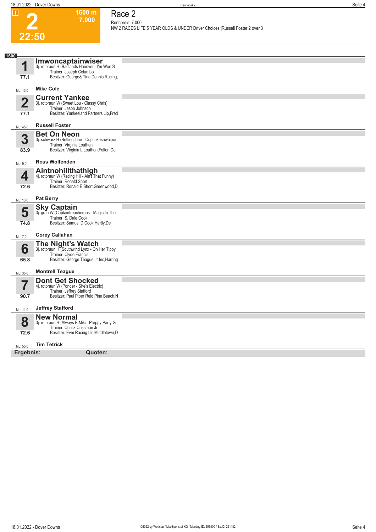**1600 m 7.000** 

**Race 2 Rennpreis: 7.000**

**NW 2 RACES LIFE 5 YEAR OLDS & UNDER Driver Choices:|Russell Foster 2 over 3** 

# **2 22:50**

| 1600                   |                                                                                                                                              |  |
|------------------------|----------------------------------------------------------------------------------------------------------------------------------------------|--|
| 1<br>77.1              | Imwoncaptainwiser<br>3j. rotbraun H (Badlands Hanover - I'm Won S<br>Trainer: Joseph Columbo<br>Besitzer: George& Tina Dennis Racing,        |  |
| ML: 13,0               | <b>Mike Cole</b>                                                                                                                             |  |
| $\overline{2}$<br>77.1 | <b>Current Yankee</b><br>3j. rotbraun W (Sweet Lou - Classy Chris)<br>Trainer: Jason Johnson<br>Besitzer: Yankeeland Partners Llp, Fred      |  |
| ML: 45,0               | <b>Russell Foster</b>                                                                                                                        |  |
| 3<br>83.9              | <b>Bet On Neon</b><br>3j. schwarz H (Betting Line - Cupcakesnwhipcr<br>Trainer: Virginia Louthan<br>Besitzer: Virginia L Louthan, Felton, De |  |
| ML: 9,0                | <b>Ross Wolfenden</b>                                                                                                                        |  |
| 4<br>72.6              | Aintnohillthathigh<br>4j. rotbraun W (Racing Hill - Ain't That Funny)<br>Trainer: Ronald Short<br>Besitzer: Ronald E Short, Greenwood, D     |  |
| ML: 13,0               | <b>Pat Berry</b>                                                                                                                             |  |
| 5<br>74.8              | <b>Sky Captain</b><br>3j. grau W (Captaintreacherous - Magic In The<br>Trainer: S. Dale Cook<br>Besitzer: Samuel D Cook, Hartly, De          |  |
| ML: 7,0                | <b>Corey Callahan</b>                                                                                                                        |  |
| 6<br>65.8              | The Night's Watch<br>3j. rotbraun H (Southwind Lynx - On Her Tippy<br>Trainer: Clyde Francis<br>Besitzer: George Teague Jr Inc, Harring      |  |
| ML: 35,0               | <b>Montrell Teague</b>                                                                                                                       |  |
| 7<br>90.7              | <b>Dont Get Shocked</b><br>4j. rotbraun W (Ponder - She's Electric)<br>Trainer: Jeffrey Stafford<br>Besitzer: Paul Piper Reid, Pine Beach, N |  |
| ML: 11,0               | <b>Jeffrey Stafford</b>                                                                                                                      |  |
| 8<br>72.6              | <b>New Normal</b><br>3j. rotbraun H (Always B Miki - Preppy Party G<br>Trainer: Chuck Crissman Jr<br>Besitzer: Evm Racing Llc, Middletown, D |  |
| ML: 55,0               | <b>Tim Tetrick</b>                                                                                                                           |  |
| Ergebnis:              | Quoten:                                                                                                                                      |  |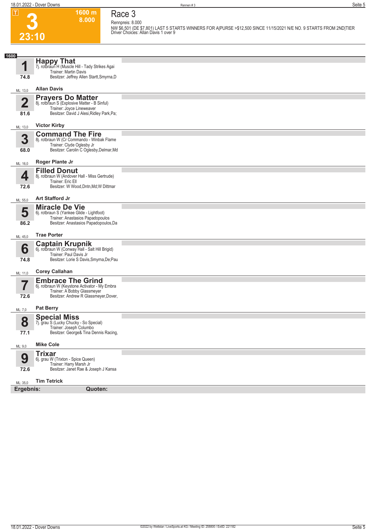**23:10**

**3**

**1600 m 8.000 Race 3 Rennpreis: 8.000**

**NW \$6,501 (DE \$7,801) LAST 5 STARTS WINNERS FOR A|PURSE >\$12,500 SINCE 11/15/2021 N/E NO. 9 STARTS FROM 2ND|TIER Driver Choices: Allan Davis 1 over 9** 

| 1600                            |                                                                                                                                                    |  |
|---------------------------------|----------------------------------------------------------------------------------------------------------------------------------------------------|--|
| 1<br>74.8                       | <b>Happy That</b><br>7j. rotbraun H (Muscle Hill - Tady Strikes Agai<br>Trainer: Martin Davis<br>Besitzer: Jeffrey Allen Startt, Smyrna, D         |  |
| ML: 13,0                        | <b>Allan Davis</b>                                                                                                                                 |  |
| $\overline{\mathbf{2}}$<br>81.6 | <b>Prayers Do Matter</b><br>8j. rotbraun S (Explosive Matter - B Sinful)<br>Trainer: Joyce Lineweaver<br>Besitzer: David J Alesi, Ridley Park, Pa; |  |
| ML: 13,0                        | <b>Victor Kirby</b>                                                                                                                                |  |
| 3<br>68.0                       | <b>Command The Fire</b><br>8j. rotbraun W (Cr Commando - Winbak Flame<br>Trainer: Clyde Oglesby Jr<br>Besitzer: Carolin C Oglesby, Delmar, Md      |  |
| ML: 16,0                        | Roger Plante Jr                                                                                                                                    |  |
| 4<br>72.6                       | <b>Filled Donut</b><br>8j. rotbraun W (Andover Hall - Miss Gertrude)<br>Trainer: Eric Ell<br>Besitzer: W Wood, Dntn, Md; W Dittmar                 |  |
| ML: 55,0                        | <b>Art Stafford Jr</b>                                                                                                                             |  |
| 5<br>86.2                       | <b>Miracle De Vie</b><br>6j. rotbraun S (Yankee Glide - Lightfoot)<br>Trainer: Anastasios Papadopoulos<br>Besitzer: Anastasios Papadopoulos, Da    |  |
| ML: 45,0                        | <b>Trae Porter</b>                                                                                                                                 |  |
| 6<br>74.8                       | <b>Captain Krupnik</b> 6j. rotbraun W (Conway Hall - Salt Hill Brigid)<br>Trainer: Paul Davis Jr<br>Besitzer: Lorie S Davis, Smyrna, De; Pau       |  |
| ML: 11,0                        | <b>Corey Callahan</b>                                                                                                                              |  |
| 72.6                            | <b>Embrace The Grind</b><br>6j. rotbraun W (Keystone Activator - My Embra<br>Trainer: A Bobby Glassmeyer<br>Besitzer: Andrew R Glassmeyer, Dover,  |  |
| ML: 7,0                         | <b>Pat Berry</b>                                                                                                                                   |  |
| 8<br>77.1                       | <b>Special Miss</b><br>7j. grau S (Lucky Chucky - So Special)<br>Trainer: Joseph Columbo<br>Besitzer: George& Tina Dennis Racing,                  |  |
| ML: 9,0                         | <b>Mike Cole</b>                                                                                                                                   |  |
| 9<br>72.6                       | <b>Trixar</b><br>6j. grau W (Trixton - Spice Queen)<br>Trainer: Harry Marsh Jr<br>Besitzer: Janet Rae & Joseph J Kansa                             |  |
| ML: 35,0                        | <b>Tim Tetrick</b>                                                                                                                                 |  |
| Ergebnis:                       | <b>Quoten:</b>                                                                                                                                     |  |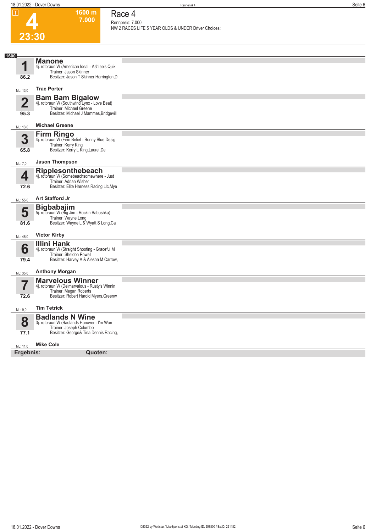**1600 m 7.000**  **Race 4**

| ய              | ווו טעטו<br>7.000                                                        | Kace 4                                                                  |
|----------------|--------------------------------------------------------------------------|-------------------------------------------------------------------------|
|                |                                                                          | Rennpreis: 7.000<br>NW 2 RACES LIFE 5 YEAR OLDS & UNDER Driver Choices: |
| 23:30          |                                                                          |                                                                         |
|                |                                                                          |                                                                         |
| 1600           | <b>Manone</b>                                                            |                                                                         |
| 1              | 4j. rotbraun W (American Ideal - Ashlee's Quik<br>Trainer: Jason Skinner |                                                                         |
| 86.2           | Besitzer: Jason T Skinner, Harrington, D                                 |                                                                         |
| ML: 13,0       | <b>Trae Porter</b>                                                       |                                                                         |
| $\overline{2}$ | <b>Bam Bam Bigalow</b><br>4j. rotbraun W (Southwind Lynx - Love Beat)    |                                                                         |
|                | Trainer: Michael Greene                                                  |                                                                         |
| 95.3           | Besitzer: Michael J Mammes, Bridgevill                                   |                                                                         |
| ML: 13,0       | <b>Michael Greene</b>                                                    |                                                                         |
| 3              | Firm Ringo<br>4j. rotbraun W (Firm Belief - Bonny Blue Desig             |                                                                         |
| 65.8           | Trainer: Kerry King<br>Besitzer: Kerry L King, Laurel, De                |                                                                         |
|                | <b>Jason Thompson</b>                                                    |                                                                         |
| ML: 7,0        |                                                                          |                                                                         |
| 4              | <b>Ripplesonthebeach</b><br>4j. rotbraun W (Somebeachsomewhere - Just    |                                                                         |
| 72.6           | Trainer: Adrian Wisher<br>Besitzer: Elite Harness Racing Llc, Mye        |                                                                         |
| ML: 55,0       | <b>Art Stafford Jr</b>                                                   |                                                                         |
| 5              | Bigbabajim<br>5j. rotbraun W (Big Jim - Rockin Babushka)                 |                                                                         |
|                | Trainer: Wayne Long                                                      |                                                                         |
| 81.6           | Besitzer: Wayne L & Wyatt S Long, Ca                                     |                                                                         |
| ML: 45,0       | <b>Victor Kirby</b>                                                      |                                                                         |
| 6              | <b>Illini Hank</b><br>4j. rotbraun W (Straight Shooting - Graceful M     |                                                                         |
|                | Trainer: Sheldon Powell                                                  |                                                                         |
| 79.4           | Besitzer: Harvey A & Alesha M Carrow,                                    |                                                                         |
| ML: 35,0       | <b>Anthony Morgan</b>                                                    |                                                                         |
|                | <b>Marvelous Winner</b><br>4j. rotbraun W (Delmarvalous - Rusty's Winnin |                                                                         |
| 72.6           | Trainer: Megan Roberts<br>Besitzer: Robert Harold Myers, Greenw          |                                                                         |
| ML: 9,0        | <b>Tim Tetrick</b>                                                       |                                                                         |
|                | <b>Badlands N Wine</b>                                                   |                                                                         |
| 8              | 3j. rotbraun W (Badlands Hanover - I'm Won                               |                                                                         |
| 77.1           | Trainer: Joseph Columbo<br>Besitzer: George& Tina Dennis Racing,         |                                                                         |
| ML: 11,0       | <b>Mike Cole</b>                                                         |                                                                         |
| Ergebnis:      | Quoten:                                                                  |                                                                         |
|                |                                                                          |                                                                         |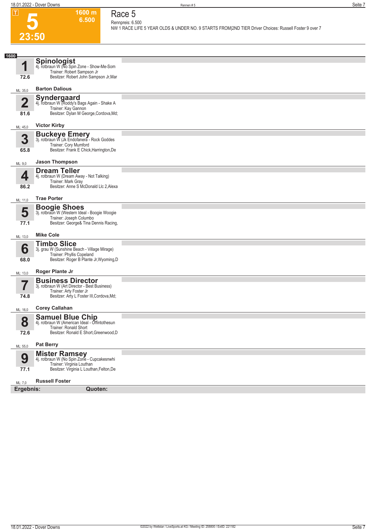

### **1600 m 6.500**

**Race 5 Rennpreis: 6.500**

**NW 1 RACE LIFE 5 YEAR OLDS & UNDER NO. 9 STARTS FROM|2ND TIER Driver Choices: Russell Foster 9 over 7** 

| <b>Spinologist</b><br>1<br>4j. rotbraun W (No Spin Zone - Show-Me-Som<br>Trainer: Robert Sampson Jr<br>Besitzer: Robert John Sampson Jr, Mar<br>72.6<br><b>Barton Dalious</b><br>ML: 35,0<br><b>Syndergaard</b><br>n<br>4j. rotbraun W (Roddy's Bags Again - Shake A<br>Trainer: Kay Gannon<br>Besitzer: Dylan M George, Cordova, Md;<br>81.6<br><b>Victor Kirby</b><br>ML: 45,0<br><b>Buckeye Emery</b><br>3j. rotbraun W (Jk Endofanera - Rock Goddes<br>3<br>Trainer: Cory Mumford<br>Besitzer: Frank E Chick, Harrington, De<br>65.8<br><b>Jason Thompson</b><br>ML: 9,0<br><b>Dream Teller</b><br>4<br>4j. rotbraun W (Dream Away - Not Talking)<br>Trainer: Mark Gray<br>Besitzer: Anne S McDonald Llc 2, Alexa<br>86.2<br><b>Trae Porter</b><br>ML: 11,0<br><b>Boogie Shoes</b><br>5<br>3j. rotbraun W (Western Ideal - Boogie Woogie<br>Trainer: Joseph Columbo<br>Besitzer: George& Tina Dennis Racing,<br>77.1<br><b>Mike Cole</b><br>ML: 13,0<br><b>Timbo Slice</b><br>6<br>3j. grau W (Sunshine Beach - Village Mirage)<br>Trainer: Phyllis Copeland<br>Besitzer: Roger B Plante Jr, Wyoming, D<br>68.0<br><b>Roger Plante Jr</b><br>ML: 13,0<br><b>Business Director</b><br>3j. rotbraun W (Art Director - Best Business)<br>Trainer: Arty Foster Jr<br>Besitzer: Arty L Foster III, Cordova, Md;<br>74.8<br><b>Corey Callahan</b><br>ML: 16,0<br><b>Samuel Blue Chip</b><br>8<br>4j. rotbraun W (American Ideal - Offintothesun<br>Trainer: Ronald Short<br>Besitzer: Ronald E Short, Greenwood, D<br>72.6<br><b>Pat Berry</b><br>ML: 55,0<br><b>Mister Ramsey</b><br>4j. rotbraun W (No Spin Zone - Cupcakesnwhi<br>9<br>Trainer: Virginia Louthan<br>Besitzer: Virginia L Louthan, Felton, De<br>77.1<br><b>Russell Foster</b><br>ML: 7,0<br>Ergebnis:<br>Quoten: | 1600 |  |
|-----------------------------------------------------------------------------------------------------------------------------------------------------------------------------------------------------------------------------------------------------------------------------------------------------------------------------------------------------------------------------------------------------------------------------------------------------------------------------------------------------------------------------------------------------------------------------------------------------------------------------------------------------------------------------------------------------------------------------------------------------------------------------------------------------------------------------------------------------------------------------------------------------------------------------------------------------------------------------------------------------------------------------------------------------------------------------------------------------------------------------------------------------------------------------------------------------------------------------------------------------------------------------------------------------------------------------------------------------------------------------------------------------------------------------------------------------------------------------------------------------------------------------------------------------------------------------------------------------------------------------------------------------------------------------------------------------------------------------------------------------------------------------------|------|--|
|                                                                                                                                                                                                                                                                                                                                                                                                                                                                                                                                                                                                                                                                                                                                                                                                                                                                                                                                                                                                                                                                                                                                                                                                                                                                                                                                                                                                                                                                                                                                                                                                                                                                                                                                                                                   |      |  |
|                                                                                                                                                                                                                                                                                                                                                                                                                                                                                                                                                                                                                                                                                                                                                                                                                                                                                                                                                                                                                                                                                                                                                                                                                                                                                                                                                                                                                                                                                                                                                                                                                                                                                                                                                                                   |      |  |
|                                                                                                                                                                                                                                                                                                                                                                                                                                                                                                                                                                                                                                                                                                                                                                                                                                                                                                                                                                                                                                                                                                                                                                                                                                                                                                                                                                                                                                                                                                                                                                                                                                                                                                                                                                                   |      |  |
|                                                                                                                                                                                                                                                                                                                                                                                                                                                                                                                                                                                                                                                                                                                                                                                                                                                                                                                                                                                                                                                                                                                                                                                                                                                                                                                                                                                                                                                                                                                                                                                                                                                                                                                                                                                   |      |  |
|                                                                                                                                                                                                                                                                                                                                                                                                                                                                                                                                                                                                                                                                                                                                                                                                                                                                                                                                                                                                                                                                                                                                                                                                                                                                                                                                                                                                                                                                                                                                                                                                                                                                                                                                                                                   |      |  |
|                                                                                                                                                                                                                                                                                                                                                                                                                                                                                                                                                                                                                                                                                                                                                                                                                                                                                                                                                                                                                                                                                                                                                                                                                                                                                                                                                                                                                                                                                                                                                                                                                                                                                                                                                                                   |      |  |
|                                                                                                                                                                                                                                                                                                                                                                                                                                                                                                                                                                                                                                                                                                                                                                                                                                                                                                                                                                                                                                                                                                                                                                                                                                                                                                                                                                                                                                                                                                                                                                                                                                                                                                                                                                                   |      |  |
|                                                                                                                                                                                                                                                                                                                                                                                                                                                                                                                                                                                                                                                                                                                                                                                                                                                                                                                                                                                                                                                                                                                                                                                                                                                                                                                                                                                                                                                                                                                                                                                                                                                                                                                                                                                   |      |  |
|                                                                                                                                                                                                                                                                                                                                                                                                                                                                                                                                                                                                                                                                                                                                                                                                                                                                                                                                                                                                                                                                                                                                                                                                                                                                                                                                                                                                                                                                                                                                                                                                                                                                                                                                                                                   |      |  |
|                                                                                                                                                                                                                                                                                                                                                                                                                                                                                                                                                                                                                                                                                                                                                                                                                                                                                                                                                                                                                                                                                                                                                                                                                                                                                                                                                                                                                                                                                                                                                                                                                                                                                                                                                                                   |      |  |
|                                                                                                                                                                                                                                                                                                                                                                                                                                                                                                                                                                                                                                                                                                                                                                                                                                                                                                                                                                                                                                                                                                                                                                                                                                                                                                                                                                                                                                                                                                                                                                                                                                                                                                                                                                                   |      |  |
|                                                                                                                                                                                                                                                                                                                                                                                                                                                                                                                                                                                                                                                                                                                                                                                                                                                                                                                                                                                                                                                                                                                                                                                                                                                                                                                                                                                                                                                                                                                                                                                                                                                                                                                                                                                   |      |  |
|                                                                                                                                                                                                                                                                                                                                                                                                                                                                                                                                                                                                                                                                                                                                                                                                                                                                                                                                                                                                                                                                                                                                                                                                                                                                                                                                                                                                                                                                                                                                                                                                                                                                                                                                                                                   |      |  |
|                                                                                                                                                                                                                                                                                                                                                                                                                                                                                                                                                                                                                                                                                                                                                                                                                                                                                                                                                                                                                                                                                                                                                                                                                                                                                                                                                                                                                                                                                                                                                                                                                                                                                                                                                                                   |      |  |
|                                                                                                                                                                                                                                                                                                                                                                                                                                                                                                                                                                                                                                                                                                                                                                                                                                                                                                                                                                                                                                                                                                                                                                                                                                                                                                                                                                                                                                                                                                                                                                                                                                                                                                                                                                                   |      |  |
|                                                                                                                                                                                                                                                                                                                                                                                                                                                                                                                                                                                                                                                                                                                                                                                                                                                                                                                                                                                                                                                                                                                                                                                                                                                                                                                                                                                                                                                                                                                                                                                                                                                                                                                                                                                   |      |  |
|                                                                                                                                                                                                                                                                                                                                                                                                                                                                                                                                                                                                                                                                                                                                                                                                                                                                                                                                                                                                                                                                                                                                                                                                                                                                                                                                                                                                                                                                                                                                                                                                                                                                                                                                                                                   |      |  |
|                                                                                                                                                                                                                                                                                                                                                                                                                                                                                                                                                                                                                                                                                                                                                                                                                                                                                                                                                                                                                                                                                                                                                                                                                                                                                                                                                                                                                                                                                                                                                                                                                                                                                                                                                                                   |      |  |
|                                                                                                                                                                                                                                                                                                                                                                                                                                                                                                                                                                                                                                                                                                                                                                                                                                                                                                                                                                                                                                                                                                                                                                                                                                                                                                                                                                                                                                                                                                                                                                                                                                                                                                                                                                                   |      |  |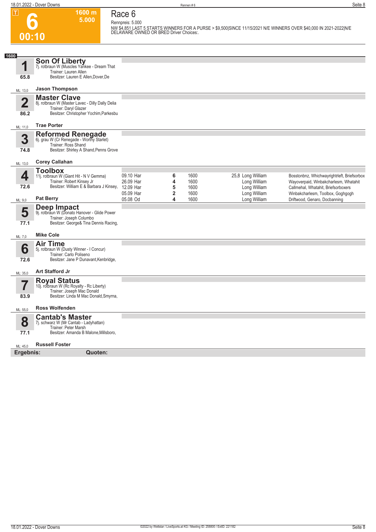**Race 6**

**1600 m 5.000** 

**6 00:10**

**Rennpreis: 5.000 NW \$4,851 LAST 5 STARTS WINNERS FOR A PURSE > \$9,500|SINCE 11/15/2021 N/E WINNERS OVER \$40,000 IN 2021-2022|N/E DELAWARE OWNED OR BRED Driver Choices:.** 

| 1600                    |                                                                                                                                      |                        |                                   |                      |                                              |                                                                                                                   |
|-------------------------|--------------------------------------------------------------------------------------------------------------------------------------|------------------------|-----------------------------------|----------------------|----------------------------------------------|-------------------------------------------------------------------------------------------------------------------|
| 1<br>65.8               | <b>Son Of Liberty</b><br>7j. rotbraun W (Muscles Yankee - Dream That<br>Trainer: Lauren Allen<br>Besitzer: Lauren E Allen, Dover, De |                        |                                   |                      |                                              |                                                                                                                   |
|                         | <b>Jason Thompson</b>                                                                                                                |                        |                                   |                      |                                              |                                                                                                                   |
| ML: 13,0                | <b>Master Clave</b>                                                                                                                  |                        |                                   |                      |                                              |                                                                                                                   |
| $\overline{\mathbf{2}}$ | 8j. rotbraun W (Master Lavec - Dilly Dally Delia                                                                                     |                        |                                   |                      |                                              |                                                                                                                   |
| 86.2                    | Trainer: Daryl Glazer<br>Besitzer: Christopher Yochim, Parkesbu                                                                      |                        |                                   |                      |                                              |                                                                                                                   |
| ML: 11,0                | <b>Trae Porter</b>                                                                                                                   |                        |                                   |                      |                                              |                                                                                                                   |
| 3<br>74.8               | Reformed Renegade<br>6j. grau W (Cr Renegade - Worthy Starlet)<br>Trainer: Ross Shand<br>Besitzer: Shirley A Shand, Penns Grove      |                        |                                   |                      |                                              |                                                                                                                   |
| ML: 13,0                | <b>Corey Callahan</b>                                                                                                                |                        |                                   |                      |                                              |                                                                                                                   |
|                         | <b>Toolbox</b>                                                                                                                       |                        |                                   |                      |                                              |                                                                                                                   |
| 4                       | 11j. rotbraun W (Giant Hit - N V Gemma)                                                                                              | 09.10 Har              | 6                                 | 1600                 | 25,8 Long William                            | Bosstonbnz, Whichwayrightrleft, Briefsorbox                                                                       |
| 72.6                    | Trainer: Robert Kinsey Jr<br>Besitzer: William E & Barbara J Kinsey, 12.09 Har                                                       | 26.09 Har<br>05.09 Har | 4<br>5<br>$\overline{\mathbf{2}}$ | 1600<br>1600<br>1600 | Long William<br>Long William<br>Long William | Wayoverpaid, Winbakcharlesm, Whatahit<br>Callmehal, Whatahit, Briefsorboxers<br>Winbakcharlesm, Toolbox, Goghgogh |
| ML: 9,0                 | <b>Pat Berry</b>                                                                                                                     | 05.08 Od               | 4                                 | 1600                 | Long William                                 | Driftwood, Genaro, Docbanning                                                                                     |
| 5<br>77.1               | Deep Impact<br>9j. rotbraun W (Donato Hanover - Glide Power<br>Trainer: Joseph Columbo<br>Besitzer: George& Tina Dennis Racing,      |                        |                                   |                      |                                              |                                                                                                                   |
| ML: 7,0                 | <b>Mike Cole</b>                                                                                                                     |                        |                                   |                      |                                              |                                                                                                                   |
|                         | <b>Air Time</b>                                                                                                                      |                        |                                   |                      |                                              |                                                                                                                   |
| 6                       | 5j. rotbraun W (Dusty Winner - I Concur)<br>Trainer: Carlo Poliseno                                                                  |                        |                                   |                      |                                              |                                                                                                                   |
| 72.6                    | Besitzer: Jane P Dunavant, Kenbridge,                                                                                                |                        |                                   |                      |                                              |                                                                                                                   |
| ML: 35,0                | <b>Art Stafford Jr</b>                                                                                                               |                        |                                   |                      |                                              |                                                                                                                   |
|                         | <b>Royal Status</b>                                                                                                                  |                        |                                   |                      |                                              |                                                                                                                   |
|                         | 10j. rotbraun W (Rc Royalty - Rc Liberty)<br>Trainer: Joseph Mac Donald                                                              |                        |                                   |                      |                                              |                                                                                                                   |
| 83.9                    | Besitzer: Linda M Mac Donald, Smyrna,                                                                                                |                        |                                   |                      |                                              |                                                                                                                   |
| ML: 55,0                | <b>Ross Wolfenden</b>                                                                                                                |                        |                                   |                      |                                              |                                                                                                                   |
| 8                       | <b>Cantab's Master</b><br>7j. schwarz W (Mr Cantab - Ladyhattan)                                                                     |                        |                                   |                      |                                              |                                                                                                                   |
| 77.1                    | Trainer: Peter Marsh<br>Besitzer: Amanda B Malone, Millsboro,                                                                        |                        |                                   |                      |                                              |                                                                                                                   |
| ML: 45,0                | <b>Russell Foster</b>                                                                                                                |                        |                                   |                      |                                              |                                                                                                                   |
| Ergebnis:               | Quoten:                                                                                                                              |                        |                                   |                      |                                              |                                                                                                                   |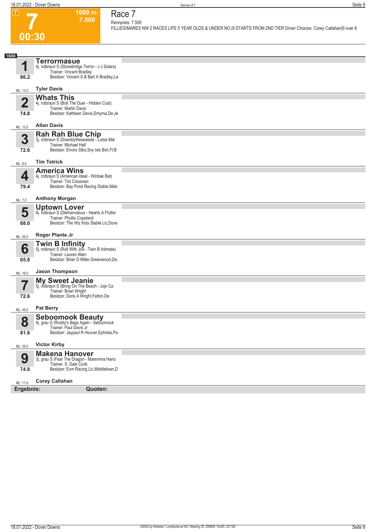**1600 m 7.500**  **Race 7**



#### **Rennpreis: 7.500 FILLIES/MARES NW 2 RACES LIFE 5 YEAR OLDS & UNDER NO.|9 STARTS FROM 2ND TIER Driver Choices: Corey Callahan|9 over 8**

| 1600      |                                                                                                                                                |  |
|-----------|------------------------------------------------------------------------------------------------------------------------------------------------|--|
| И         | <b>Terrormasue</b><br>4j. rotbraun S (Stonebridge Terror - J J Solara)<br>Trainer: Vincent Bradley                                             |  |
| 86.2      | Besitzer: Vincent S & Bart A Bradley, La                                                                                                       |  |
| ML: 13,0  | <b>Tyler Davis</b>                                                                                                                             |  |
| 2<br>74.8 | <b>Whats This</b><br>4j. rotbraun S (Bolt The Duer - Hidden Cost)<br>Trainer: Martin Davis<br>Besitzer: Kathleen Davis, Smyrna, De; Je         |  |
| ML: 13,0  | <b>Allan Davis</b>                                                                                                                             |  |
| 3<br>72.6 | Rah Rah Blue Chip<br>3j. rotbraun S (Downbytheseaside - Lotsa Mat<br>Trainer: Michael Hall<br>Besitzer: Enviro Stbs, Sny Isls Bch, FI; B       |  |
| ML: 9,0   | <b>Tim Tetrick</b>                                                                                                                             |  |
| 4<br>79.4 | <b>America Wins</b><br>4j. rotbraun S (American Ideal - Winbak Bet)<br>Trainer: Tim Crissman<br>Besitzer: Bay Pond Racing Stable, Malv         |  |
| ML: 7,0   | <b>Anthony Morgan</b>                                                                                                                          |  |
| 5<br>68.0 | <b>Uptown Lover</b><br>4j. rotbraun S (Delmarvalous - Hearts A Flutter<br>Trainer: Phyllis Copeland<br>Besitzer: The Wiz Kids Stable Llc, Dove |  |
| ML: 55,0  | Roger Plante Jr                                                                                                                                |  |
| 6<br>65.8 | Twin B Infinity<br>5j. rotbraun S (Roll With Joe - Twin B Intimate)<br>Trainer: Lauren Allen<br>Besitzer: Brian D Miller, Greenwood, De;       |  |
| ML: 16,0  | <b>Jason Thompson</b>                                                                                                                          |  |
| 7<br>72.6 | My Sweet Jeanie<br>5j. rotbraun S (Bring On The Beach - Jojo Ca<br>Trainer: Brian Wright<br>Besitzer: Doris A Wright, Felton, De               |  |
| ML: 45,0  | <b>Pat Berry</b>                                                                                                                               |  |
| 8<br>81.6 | Seboomook Beauty<br>4j. grau S (Roddy's Bags Again - Seboomook<br>Trainer: Paul Davis Jr<br>Besitzer: Jaypaul R Hoover, Ephrata, Pa            |  |
| ML: 35,0  | <b>Victor Kirby</b>                                                                                                                            |  |
| 9         | <b>Makena Hanover</b><br>3j. grau S (Fear The Dragon - Maremma Hano<br>Trainer: S. Dale Cook                                                   |  |
| 74.8      | Besitzer: Evm Racing Llc, Middletown, D                                                                                                        |  |
| ML: 11.0  | <b>Corey Callahan</b>                                                                                                                          |  |
| Ergebnis: | Quoten:                                                                                                                                        |  |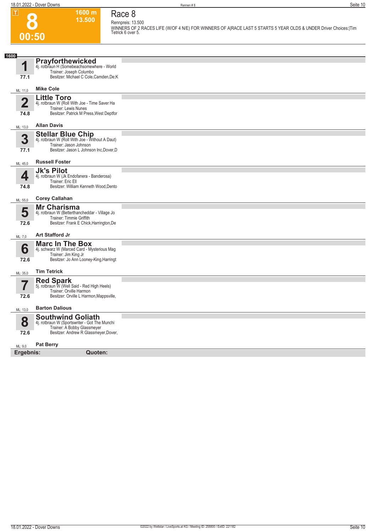## **8 00:50**

**1600 m 13.500**  **Race 8**

#### **Rennpreis: 13.500 WINNERS OF 2 RACES LIFE (W/OF 4 N/E) FOR WINNERS OF A|RACE LAST 5 STARTS 5 YEAR OLDS & UNDER Driver Choices:|Tim Tetrick 6 over 5.**

| 1600                   |                                                                                                                                                   |  |
|------------------------|---------------------------------------------------------------------------------------------------------------------------------------------------|--|
| 4                      | <b>Prayforthewicked</b><br>4j. rotbraun H (Somebeachsomewhere - World<br>Trainer: Joseph Columbo                                                  |  |
| 77.1                   | Besitzer: Michael C Cole, Camden, De; K                                                                                                           |  |
| ML: 11,0               | <b>Mike Cole</b>                                                                                                                                  |  |
| $\overline{2}$<br>74.8 | <b>Little Toro</b><br>4j. rotbraun W (Roll With Joe - Time Saver Ha<br>Trainer: Lewis Nunes<br>Besitzer: Patrick M Press, West Deptfor            |  |
| ML: 13,0               | <b>Allan Davis</b>                                                                                                                                |  |
| 3<br>77.1              | Stellar Blue Chip<br>4j. rotbraun W (Roll With Joe - Without A Daut)<br>Trainer: Jason Johnson<br>Besitzer: Jason L Johnson Inc, Dover, D         |  |
| ML: 45,0               | <b>Russell Foster</b>                                                                                                                             |  |
| 4<br>74.8              | <b>Jk's Pilot</b><br>4j. rotbraun W (Jk Endofanera - Banderosa)<br>Trainer: Eric Ell<br>Besitzer: William Kenneth Wood, Dento                     |  |
| ML: 55,0               | <b>Corey Callahan</b>                                                                                                                             |  |
| 5<br>72.6              | <b>Mr Charisma</b><br>4j. rotbraun W (Betterthancheddar - Village Jo<br>Trainer: Timmie Griffith<br>Besitzer: Frank E Chick, Harrington, De       |  |
| ML: 7,0                | Art Stafford Jr                                                                                                                                   |  |
| 6<br>72.6              | <b>Marc In The Box</b><br>4j. schwarz W (Marced Card - Mysterious Mag<br>Trainer: Jim King Jr<br>Besitzer: Jo Ann Looney-King, Harringt           |  |
| ML: 35,0               | <b>Tim Tetrick</b>                                                                                                                                |  |
|                        | Red Spark<br>5j. rotbraun W (Well Said - Red High Heels)<br>Trainer: Orville Harmon                                                               |  |
| 72.6                   | Besitzer: Orville L Harmon, Mappsville,                                                                                                           |  |
| ML: 13,0               | <b>Barton Dalious</b>                                                                                                                             |  |
| 8<br>72.6              | <b>Southwind Goliath</b><br>4j. rotbraun W (Sportswriter - Got The Munchi<br>Trainer: A Bobby Glassmeyer<br>Besitzer: Andrew R Glassmeyer, Dover, |  |
|                        |                                                                                                                                                   |  |
| ML: 9.0                | <b>Pat Berry</b>                                                                                                                                  |  |
| Ergebnis:              | Quoten:                                                                                                                                           |  |
|                        |                                                                                                                                                   |  |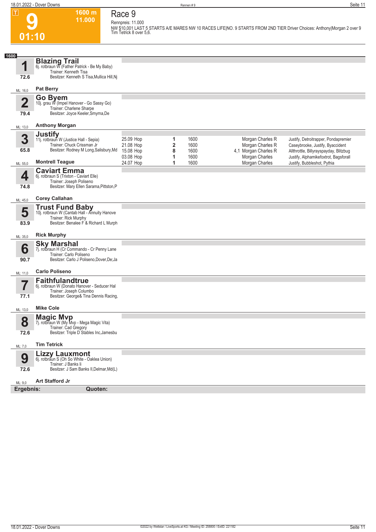### **Race 9 Rennpreis: 11.000**

**1600 m 11.000** 

**9 01:10**

**NW \$10,001 LAST 5 STARTS A/E MARES NW 10 RACES LIFE|NO. 9 STARTS FROM 2ND TIER Driver Choices: Anthony|Morgan 2 over 9 Tim Tetrick 8 over 5,6.** 

| 1600<br><b>Blazing Trail</b><br>1<br>6j. rotbraun W (Father Patrick - Be My Baby)<br>Trainer: Kenneth Tisa<br>Besitzer: Kenneth S Tisa, Mullica Hill, Nj<br>72.6<br><b>Pat Berry</b><br>ML: 16,0<br>Go Byem<br>$\overline{\mathbf{2}}$<br>10j. grau W (Impel Hanover - Go Sassy Go)<br>Trainer: Charlene Sharpe<br>Besitzer: Joyce Keeler, Smyrna, De<br>79.4<br><b>Anthony Morgan</b><br>ML: 13,0<br><b>Justify</b><br>3<br>25.09 Hop<br>1600<br>Morgan Charles R<br>Justify, Detroitrapper, Pondapremier<br>1<br>11j. rotbraun W (Justice Hall - Sepia)<br>Trainer: Chuck Crissman Jr<br>2<br>Morgan Charles R<br>21.08 Hop<br>1600<br>Caseybrooke, Justify, Byaccident<br>Besitzer: Rodney M Long, Salisbury, Md<br>65.8<br>15.08 Hop<br>8<br>4,1 Morgan Charles R<br>1600<br>Allthrottle, Billyrayspayday, Blitzbug<br>03.08 Hop<br>Morgan Charles<br>1<br>1600<br>Justify, Alphamikefoxtrot, Bagsforall<br><b>Montrell Teague</b><br>Morgan Charles<br>24.07 Hop<br>1<br>1600<br>Justify, Bubbleshot, Pythia<br>ML: 55,0<br><b>Caviart Emma</b><br>4<br>6j. rotbraun S (Trixton - Caviart Elle)<br>Trainer: Joseph Poliseno<br>Besitzer: Mary Ellen Sarama, Pittston, P<br>74.8<br><b>Corey Callahan</b><br>ML: 45,0<br><b>Trust Fund Baby</b><br>5<br>10j. rotbraun W (Cantab Hall - Annuity Hanove<br>Trainer: Rick Murphy<br>Besitzer: Benalee F & Richard L Murph<br>83.9<br><b>Rick Murphy</b><br>ML: 35,0<br><b>Sky Marshal</b><br>6<br>7j. rotbraun H (Cr Commando - Cr Penny Lane<br>Trainer: Carlo Poliseno<br>Besitzer: Carlo J Poliseno, Dover, De; Ja<br>90.7<br><b>Carlo Poliseno</b><br>ML: 11,0<br><b>Faithfulandtrue</b><br>7<br>6j. rotbraun W (Donato Hanover - Seducer Hal<br>Trainer: Joseph Columbo<br>Besitzer: George& Tina Dennis Racing,<br>77.1<br><b>Mike Cole</b><br>ML: 13,0<br><b>Magic Mvp</b><br>8<br>7j. rotbraun W (My Mvp - Mega Magic Vita)<br>Trainer: Cad Gregory |  |  |  |  |
|--------------------------------------------------------------------------------------------------------------------------------------------------------------------------------------------------------------------------------------------------------------------------------------------------------------------------------------------------------------------------------------------------------------------------------------------------------------------------------------------------------------------------------------------------------------------------------------------------------------------------------------------------------------------------------------------------------------------------------------------------------------------------------------------------------------------------------------------------------------------------------------------------------------------------------------------------------------------------------------------------------------------------------------------------------------------------------------------------------------------------------------------------------------------------------------------------------------------------------------------------------------------------------------------------------------------------------------------------------------------------------------------------------------------------------------------------------------------------------------------------------------------------------------------------------------------------------------------------------------------------------------------------------------------------------------------------------------------------------------------------------------------------------------------------------------------------------------------------------------------------------------------------------------|--|--|--|--|
|                                                                                                                                                                                                                                                                                                                                                                                                                                                                                                                                                                                                                                                                                                                                                                                                                                                                                                                                                                                                                                                                                                                                                                                                                                                                                                                                                                                                                                                                                                                                                                                                                                                                                                                                                                                                                                                                                                              |  |  |  |  |
|                                                                                                                                                                                                                                                                                                                                                                                                                                                                                                                                                                                                                                                                                                                                                                                                                                                                                                                                                                                                                                                                                                                                                                                                                                                                                                                                                                                                                                                                                                                                                                                                                                                                                                                                                                                                                                                                                                              |  |  |  |  |
|                                                                                                                                                                                                                                                                                                                                                                                                                                                                                                                                                                                                                                                                                                                                                                                                                                                                                                                                                                                                                                                                                                                                                                                                                                                                                                                                                                                                                                                                                                                                                                                                                                                                                                                                                                                                                                                                                                              |  |  |  |  |
|                                                                                                                                                                                                                                                                                                                                                                                                                                                                                                                                                                                                                                                                                                                                                                                                                                                                                                                                                                                                                                                                                                                                                                                                                                                                                                                                                                                                                                                                                                                                                                                                                                                                                                                                                                                                                                                                                                              |  |  |  |  |
|                                                                                                                                                                                                                                                                                                                                                                                                                                                                                                                                                                                                                                                                                                                                                                                                                                                                                                                                                                                                                                                                                                                                                                                                                                                                                                                                                                                                                                                                                                                                                                                                                                                                                                                                                                                                                                                                                                              |  |  |  |  |
|                                                                                                                                                                                                                                                                                                                                                                                                                                                                                                                                                                                                                                                                                                                                                                                                                                                                                                                                                                                                                                                                                                                                                                                                                                                                                                                                                                                                                                                                                                                                                                                                                                                                                                                                                                                                                                                                                                              |  |  |  |  |
|                                                                                                                                                                                                                                                                                                                                                                                                                                                                                                                                                                                                                                                                                                                                                                                                                                                                                                                                                                                                                                                                                                                                                                                                                                                                                                                                                                                                                                                                                                                                                                                                                                                                                                                                                                                                                                                                                                              |  |  |  |  |
|                                                                                                                                                                                                                                                                                                                                                                                                                                                                                                                                                                                                                                                                                                                                                                                                                                                                                                                                                                                                                                                                                                                                                                                                                                                                                                                                                                                                                                                                                                                                                                                                                                                                                                                                                                                                                                                                                                              |  |  |  |  |
|                                                                                                                                                                                                                                                                                                                                                                                                                                                                                                                                                                                                                                                                                                                                                                                                                                                                                                                                                                                                                                                                                                                                                                                                                                                                                                                                                                                                                                                                                                                                                                                                                                                                                                                                                                                                                                                                                                              |  |  |  |  |
|                                                                                                                                                                                                                                                                                                                                                                                                                                                                                                                                                                                                                                                                                                                                                                                                                                                                                                                                                                                                                                                                                                                                                                                                                                                                                                                                                                                                                                                                                                                                                                                                                                                                                                                                                                                                                                                                                                              |  |  |  |  |
|                                                                                                                                                                                                                                                                                                                                                                                                                                                                                                                                                                                                                                                                                                                                                                                                                                                                                                                                                                                                                                                                                                                                                                                                                                                                                                                                                                                                                                                                                                                                                                                                                                                                                                                                                                                                                                                                                                              |  |  |  |  |
|                                                                                                                                                                                                                                                                                                                                                                                                                                                                                                                                                                                                                                                                                                                                                                                                                                                                                                                                                                                                                                                                                                                                                                                                                                                                                                                                                                                                                                                                                                                                                                                                                                                                                                                                                                                                                                                                                                              |  |  |  |  |
|                                                                                                                                                                                                                                                                                                                                                                                                                                                                                                                                                                                                                                                                                                                                                                                                                                                                                                                                                                                                                                                                                                                                                                                                                                                                                                                                                                                                                                                                                                                                                                                                                                                                                                                                                                                                                                                                                                              |  |  |  |  |
|                                                                                                                                                                                                                                                                                                                                                                                                                                                                                                                                                                                                                                                                                                                                                                                                                                                                                                                                                                                                                                                                                                                                                                                                                                                                                                                                                                                                                                                                                                                                                                                                                                                                                                                                                                                                                                                                                                              |  |  |  |  |
|                                                                                                                                                                                                                                                                                                                                                                                                                                                                                                                                                                                                                                                                                                                                                                                                                                                                                                                                                                                                                                                                                                                                                                                                                                                                                                                                                                                                                                                                                                                                                                                                                                                                                                                                                                                                                                                                                                              |  |  |  |  |
|                                                                                                                                                                                                                                                                                                                                                                                                                                                                                                                                                                                                                                                                                                                                                                                                                                                                                                                                                                                                                                                                                                                                                                                                                                                                                                                                                                                                                                                                                                                                                                                                                                                                                                                                                                                                                                                                                                              |  |  |  |  |
|                                                                                                                                                                                                                                                                                                                                                                                                                                                                                                                                                                                                                                                                                                                                                                                                                                                                                                                                                                                                                                                                                                                                                                                                                                                                                                                                                                                                                                                                                                                                                                                                                                                                                                                                                                                                                                                                                                              |  |  |  |  |
|                                                                                                                                                                                                                                                                                                                                                                                                                                                                                                                                                                                                                                                                                                                                                                                                                                                                                                                                                                                                                                                                                                                                                                                                                                                                                                                                                                                                                                                                                                                                                                                                                                                                                                                                                                                                                                                                                                              |  |  |  |  |
|                                                                                                                                                                                                                                                                                                                                                                                                                                                                                                                                                                                                                                                                                                                                                                                                                                                                                                                                                                                                                                                                                                                                                                                                                                                                                                                                                                                                                                                                                                                                                                                                                                                                                                                                                                                                                                                                                                              |  |  |  |  |
|                                                                                                                                                                                                                                                                                                                                                                                                                                                                                                                                                                                                                                                                                                                                                                                                                                                                                                                                                                                                                                                                                                                                                                                                                                                                                                                                                                                                                                                                                                                                                                                                                                                                                                                                                                                                                                                                                                              |  |  |  |  |
|                                                                                                                                                                                                                                                                                                                                                                                                                                                                                                                                                                                                                                                                                                                                                                                                                                                                                                                                                                                                                                                                                                                                                                                                                                                                                                                                                                                                                                                                                                                                                                                                                                                                                                                                                                                                                                                                                                              |  |  |  |  |
|                                                                                                                                                                                                                                                                                                                                                                                                                                                                                                                                                                                                                                                                                                                                                                                                                                                                                                                                                                                                                                                                                                                                                                                                                                                                                                                                                                                                                                                                                                                                                                                                                                                                                                                                                                                                                                                                                                              |  |  |  |  |
| Besitzer: Triple D Stables Inc, Jamesbu<br>72.6                                                                                                                                                                                                                                                                                                                                                                                                                                                                                                                                                                                                                                                                                                                                                                                                                                                                                                                                                                                                                                                                                                                                                                                                                                                                                                                                                                                                                                                                                                                                                                                                                                                                                                                                                                                                                                                              |  |  |  |  |
| <b>Tim Tetrick</b><br>ML: 7,0                                                                                                                                                                                                                                                                                                                                                                                                                                                                                                                                                                                                                                                                                                                                                                                                                                                                                                                                                                                                                                                                                                                                                                                                                                                                                                                                                                                                                                                                                                                                                                                                                                                                                                                                                                                                                                                                                |  |  |  |  |
| <b>Lizzy Lauxmont</b><br>9<br>6j. rotbraun S (Oh So White - Oaklea Union)<br>Trainer: J Banks Ii                                                                                                                                                                                                                                                                                                                                                                                                                                                                                                                                                                                                                                                                                                                                                                                                                                                                                                                                                                                                                                                                                                                                                                                                                                                                                                                                                                                                                                                                                                                                                                                                                                                                                                                                                                                                             |  |  |  |  |
| Besitzer: J Sam Banks II, Delmar, Md(L)<br>72.6                                                                                                                                                                                                                                                                                                                                                                                                                                                                                                                                                                                                                                                                                                                                                                                                                                                                                                                                                                                                                                                                                                                                                                                                                                                                                                                                                                                                                                                                                                                                                                                                                                                                                                                                                                                                                                                              |  |  |  |  |
| <b>Art Stafford Jr</b><br>ML: 9,0                                                                                                                                                                                                                                                                                                                                                                                                                                                                                                                                                                                                                                                                                                                                                                                                                                                                                                                                                                                                                                                                                                                                                                                                                                                                                                                                                                                                                                                                                                                                                                                                                                                                                                                                                                                                                                                                            |  |  |  |  |
| Ergebnis:<br>Quoten:                                                                                                                                                                                                                                                                                                                                                                                                                                                                                                                                                                                                                                                                                                                                                                                                                                                                                                                                                                                                                                                                                                                                                                                                                                                                                                                                                                                                                                                                                                                                                                                                                                                                                                                                                                                                                                                                                         |  |  |  |  |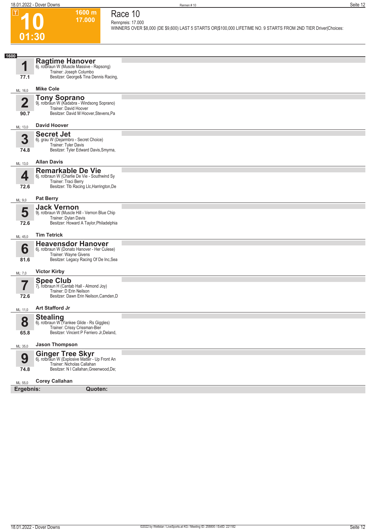**1600 m 17.000** 

**Race 10 Rennpreis: 17.000**

**10**

 $\boxed{1}$ 

**WINNERS OVER \$8,000 (DE \$9,600) LAST 5 STARTS OR|\$100,000 LIFETIME NO. 9 STARTS FROM 2ND TIER Driver|Choices:** 

| 01:30                           |                                                                                                                                                   |  |
|---------------------------------|---------------------------------------------------------------------------------------------------------------------------------------------------|--|
|                                 |                                                                                                                                                   |  |
| 1600<br>1<br>77.1               | <b>Ragtime Hanover</b><br>6j. rotbraun W (Muscle Massive - Rapsong)<br>Trainer: Joseph Columbo<br>Besitzer: George& Tina Dennis Racing,           |  |
| ML: 16,0                        | <b>Mike Cole</b>                                                                                                                                  |  |
| $\overline{\mathbf{2}}$<br>90.7 | <b>Tony Soprano</b><br>9j. rotbraun W (Kadabra - Windsong Soprano)<br>Trainer: David Hoover<br>Besitzer: David M Hoover, Stevens, Pa              |  |
| ML: 13,0                        | <b>David Hoover</b>                                                                                                                               |  |
| 3<br>74.8                       | <b>Secret Jet</b><br>6j. grau W (Dejarmbro - Secret Choice)<br>Trainer: Tyler Davis<br>Besitzer: Tyler Edward Davis, Smyrna,                      |  |
| ML: 13,0                        | <b>Allan Davis</b>                                                                                                                                |  |
| 4<br>72.6                       | <b>Remarkable De Vie</b><br>6j. rotbraun W (Charlie De Vie - Southwind Sy<br>Trainer: Traci Berry<br>Besitzer: Tlb Racing Llc, Harrington, De     |  |
| ML: 9,0                         | <b>Pat Berry</b>                                                                                                                                  |  |
| 5<br>72.6                       | <b>Jack Vernon</b><br>9j. rotbraun W (Muscle Hill - Vernon Blue Chip<br>Trainer: Dylan Davis<br>Besitzer: Howard A Taylor, Philadelphia           |  |
| ML: 45,0                        | <b>Tim Tetrick</b>                                                                                                                                |  |
| 6<br>81.6                       | <b>Heavensdor Hanover</b><br>6j. rotbraun W (Donato Hanover - Her Culese)<br>Trainer: Wayne Givens<br>Besitzer: Legacy Racing Of De Inc, Sea      |  |
| ML: 7,0                         | <b>Victor Kirby</b>                                                                                                                               |  |
| 7<br>72.6                       | Spee Club 7j. rotbraun H (Cantab Hall - Almond Joy)<br>Trainer: D Erin Neilson<br>Besitzer: Dawn Erin Neilson, Camden, D                          |  |
|                                 | <b>Art Stafford Jr</b>                                                                                                                            |  |
| ML: 11,0                        | <b>Stealing</b><br>6j. rotbraun W (Yankee Glide - Rs Giggles)                                                                                     |  |
| 8<br>65.8                       | Trainer: Crissy Crissman-Bier<br>Besitzer: Vincent P Ferriero Jr, Deland,                                                                         |  |
| ML: 35,0                        | <b>Jason Thompson</b>                                                                                                                             |  |
| 9<br>74.8                       | <b>Ginger Tree Skyr</b><br>6j. rotbraun W (Explosive Matter - Up Front An<br>Trainer: Nicholas Callahan<br>Besitzer: N I Callahan, Greenwood, De; |  |
| ML: 55,0                        | <b>Corey Callahan</b>                                                                                                                             |  |
| Ergebnis:                       | Quoten:                                                                                                                                           |  |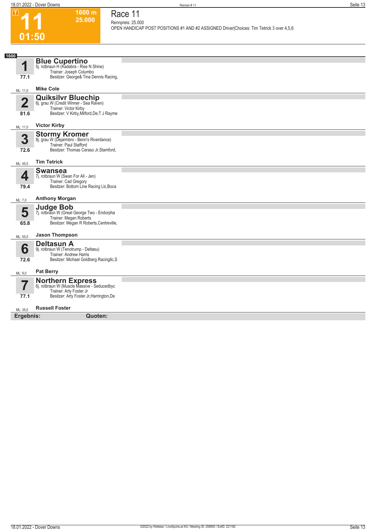**11**

 $\boxed{1}$ 

**01:50**

**1600 m 25.000** 

**Race 11 Rennpreis: 25.000**

**OPEN HANDICAP POST POSITIONS #1 AND #2 ASSIGNED Driver|Choices: Tim Tetrick 3 over 4,5,6** 

| 1600<br>И               | <b>Blue Cupertino</b><br>5j. rotbraun H (Kadabra - Rise N Shine)<br>Trainer: Joseph Columbo                                                   |  |
|-------------------------|-----------------------------------------------------------------------------------------------------------------------------------------------|--|
| 77.1                    | Besitzer: George& Tina Dennis Racing,                                                                                                         |  |
| ML: 11,0                | <b>Mike Cole</b>                                                                                                                              |  |
| $\overline{\mathbf{2}}$ | <b>Quiksilvr Bluechip</b><br>6j. grau W (Credit Winner - Sea Raven)<br>Trainer: Victor Kirby                                                  |  |
| 81.6                    | Besitzer: V Kirby, Milford, De; T J Rayme                                                                                                     |  |
| ML: 11,0                | <b>Victor Kirby</b>                                                                                                                           |  |
| 3<br>72.6               | <b>Stormy Kromer</b><br>8j. grau W (Dejarmbro - Benn's Riverdance)<br>Trainer: Paul Stafford<br>Besitzer: Thomas Ceraso Jr, Stamford,         |  |
| ML: 45,0                | <b>Tim Tetrick</b>                                                                                                                            |  |
| Д<br>79.4               | <b>Swansea</b><br>7j. rotbraun W (Swan For All - Jen)<br>Trainer: Cad Gregory<br>Besitzer: Bottom Line Racing Llc, Boca                       |  |
| ML: 7,0                 | <b>Anthony Morgan</b>                                                                                                                         |  |
| 5<br>65.8               | <b>Judge Bob</b><br>7j. rotbraun W (Great George Two - Endorpha<br>Trainer: Megan Roberts<br>Besitzer: Megan R Roberts, Centreville,          |  |
| ML: 55,0                | <b>Jason Thompson</b>                                                                                                                         |  |
| 6<br>72.6               | <b>Deltasun A</b><br>9j. rotbraun W (Tenotrump - Deltasu)<br>Trainer: Andrew Harris<br>Besitzer: Michael Goldberg Racingllc, S                |  |
| ML: 9,0                 | <b>Pat Berry</b>                                                                                                                              |  |
| 7<br>77.1               | <b>Northern Express</b><br>6j. rotbraun W (Muscle Massive - Seducedbyc<br>Trainer: Arty Foster Jr<br>Besitzer: Arty Foster Jr, Harrington, De |  |
|                         |                                                                                                                                               |  |
| ML: 35,0<br>Ergebnis:   | <b>Russell Foster</b><br>Quoten:                                                                                                              |  |